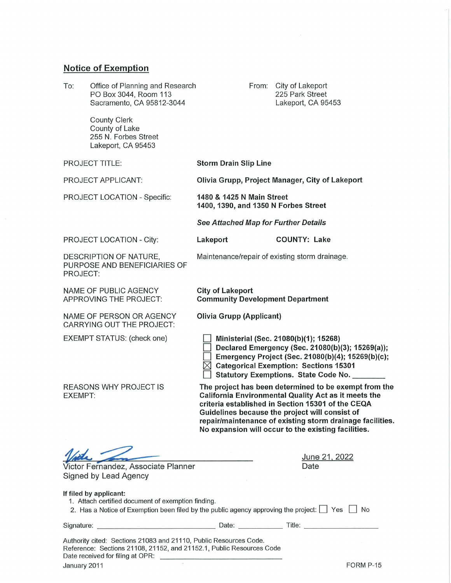## **Notice of Exemption**

| To:                                                                                                                                                                                                                                                         | Office of Planning and Research<br>PO Box 3044, Room 113<br>Sacramento, CA 95812-3044 |                                                                                                                                                                                                                                                                                                                                          | From: | City of Lakeport<br>225 Park Street<br>Lakeport, CA 95453 |
|-------------------------------------------------------------------------------------------------------------------------------------------------------------------------------------------------------------------------------------------------------------|---------------------------------------------------------------------------------------|------------------------------------------------------------------------------------------------------------------------------------------------------------------------------------------------------------------------------------------------------------------------------------------------------------------------------------------|-------|-----------------------------------------------------------|
|                                                                                                                                                                                                                                                             | <b>County Clerk</b><br>County of Lake<br>255 N. Forbes Street<br>Lakeport, CA 95453   |                                                                                                                                                                                                                                                                                                                                          |       |                                                           |
| <b>PROJECT TITLE:</b>                                                                                                                                                                                                                                       |                                                                                       | <b>Storm Drain Slip Line</b>                                                                                                                                                                                                                                                                                                             |       |                                                           |
| PROJECT APPLICANT:                                                                                                                                                                                                                                          |                                                                                       | Olivia Grupp, Project Manager, City of Lakeport                                                                                                                                                                                                                                                                                          |       |                                                           |
| PROJECT LOCATION - Specific:                                                                                                                                                                                                                                |                                                                                       | 1480 & 1425 N Main Street<br>1400, 1390, and 1350 N Forbes Street                                                                                                                                                                                                                                                                        |       |                                                           |
|                                                                                                                                                                                                                                                             |                                                                                       | <b>See Attached Map for Further Details</b>                                                                                                                                                                                                                                                                                              |       |                                                           |
|                                                                                                                                                                                                                                                             | PROJECT LOCATION - City:                                                              | Lakeport                                                                                                                                                                                                                                                                                                                                 |       | <b>COUNTY: Lake</b>                                       |
| DESCRIPTION OF NATURE,<br>PURPOSE AND BENEFICIARIES OF<br>PROJECT:                                                                                                                                                                                          |                                                                                       | Maintenance/repair of existing storm drainage.                                                                                                                                                                                                                                                                                           |       |                                                           |
| NAME OF PUBLIC AGENCY<br>APPROVING THE PROJECT:                                                                                                                                                                                                             |                                                                                       | <b>City of Lakeport</b><br><b>Community Development Department</b>                                                                                                                                                                                                                                                                       |       |                                                           |
| NAME OF PERSON OR AGENCY<br><b>CARRYING OUT THE PROJECT:</b>                                                                                                                                                                                                |                                                                                       | <b>Olivia Grupp (Applicant)</b>                                                                                                                                                                                                                                                                                                          |       |                                                           |
| EXEMPT STATUS: (check one)                                                                                                                                                                                                                                  |                                                                                       | Ministerial (Sec. 21080(b)(1); 15268)<br>Declared Emergency (Sec. 21080(b)(3); 15269(a));<br>Emergency Project (Sec. 21080(b)(4); 15269(b)(c);<br><b>Categorical Exemption: Sections 15301</b><br>Statutory Exemptions. State Code No.                                                                                                   |       |                                                           |
| <b>REASONS WHY PROJECT IS</b><br>EXEMPT:                                                                                                                                                                                                                    |                                                                                       | The project has been determined to be exempt from the<br>California Environmental Quality Act as it meets the<br>criteria established in Section 15301 of the CEQA<br>Guidelines because the project will consist of<br>repair/maintenance of existing storm drainage facilities.<br>No expansion will occur to the existing facilities. |       |                                                           |
| Victor Fernandez, Associate Planner<br>Signed by Lead Agency                                                                                                                                                                                                |                                                                                       |                                                                                                                                                                                                                                                                                                                                          |       | June 21, 2022<br>Date                                     |
| If filed by applicant:<br>1. Attach certified document of exemption finding.<br>2. Has a Notice of Exemption been filed by the public agency approving the project: $\Box$ Yes $\Box$ No                                                                    |                                                                                       |                                                                                                                                                                                                                                                                                                                                          |       |                                                           |
|                                                                                                                                                                                                                                                             |                                                                                       |                                                                                                                                                                                                                                                                                                                                          |       |                                                           |
| Authority cited: Sections 21083 and 21110, Public Resources Code.<br>Reference: Sections 21108, 21152, and 21152.1, Public Resources Code<br>Date received for filing at OPR:<br>the control of the control of the control of the control of the control of |                                                                                       |                                                                                                                                                                                                                                                                                                                                          |       |                                                           |